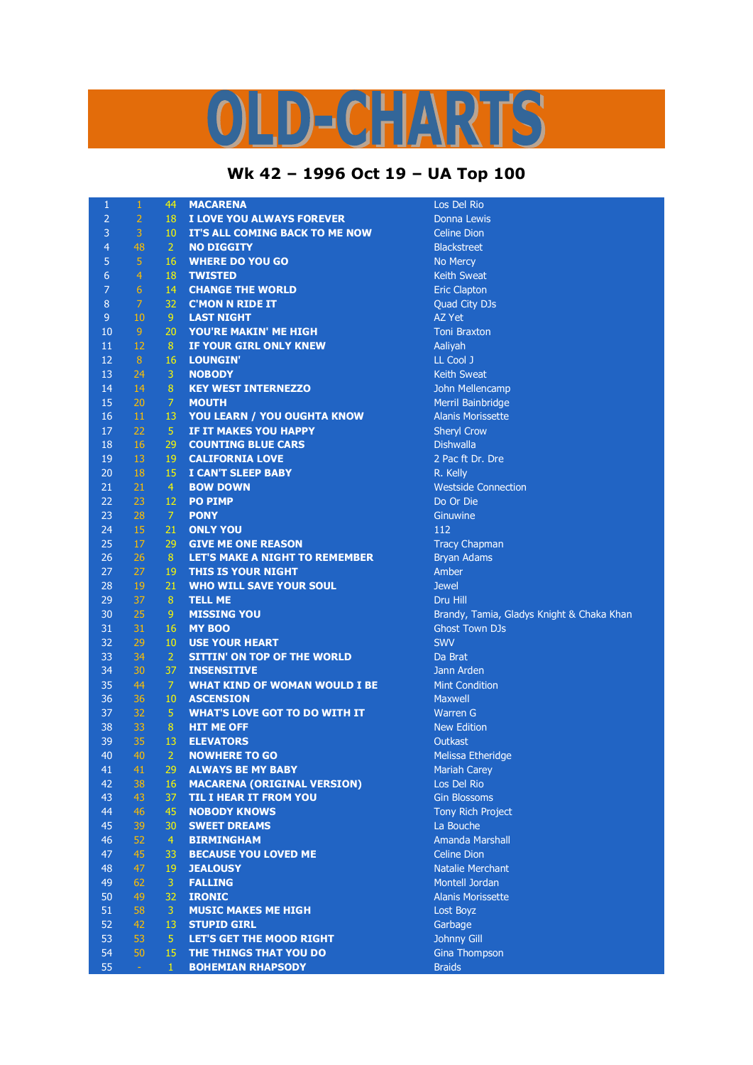## LD-CHARTS

## **Wk 42 – 1996 Oct 19 – UA Top 100**

| $\mathbf{1}$   | $\,1\,$          | 44             | <b>MACARENA</b>                       | Los Del Rio                               |
|----------------|------------------|----------------|---------------------------------------|-------------------------------------------|
| $\overline{c}$ | $\overline{2}$   | 18             | I LOVE YOU ALWAYS FOREVER             | Donna Lewis                               |
| 3              | 3                | 10             | IT'S ALL COMING BACK TO ME NOW        | <b>Celine Dion</b>                        |
| $\overline{4}$ | 48               | $\overline{2}$ | <b>NO DIGGITY</b>                     | <b>Blackstreet</b>                        |
| 5              | $\overline{5}$   | 16             | <b>WHERE DO YOU GO</b>                | <b>No Mercy</b>                           |
| 6              | $\overline{4}$   | 18             | <b>TWISTED</b>                        | <b>Keith Sweat</b>                        |
| $\overline{7}$ | 6                | 14             | <b>CHANGE THE WORLD</b>               | <b>Eric Clapton</b>                       |
| 8              | 7                | 32             | <b>C'MON N RIDE IT</b>                | Quad City DJs                             |
| $9$            | 10               | 9              | <b>LAST NIGHT</b>                     | AZ Yet                                    |
| 10             | 9                | 20             | YOU'RE MAKIN' ME HIGH                 | <b>Toni Braxton</b>                       |
| 11             | 12               | 8              | IF YOUR GIRL ONLY KNEW                | Aaliyah                                   |
| 12             | 8                | 16             | <b>LOUNGIN'</b>                       | LL Cool J                                 |
| 13             | 24               | $\mathbf{3}$   | <b>NOBODY</b>                         | <b>Keith Sweat</b>                        |
| 14             | 14               | 8              | <b>KEY WEST INTERNEZZO</b>            | John Mellencamp                           |
| 15             | 20               | $\overline{7}$ | <b>MOUTH</b>                          | Merril Bainbridge                         |
| 16             | 11               | 13             | <b>YOU LEARN / YOU OUGHTA KNOW</b>    | <b>Alanis Morissette</b>                  |
| 17             | 22               | 5              | IF IT MAKES YOU HAPPY                 | <b>Sheryl Crow</b>                        |
| 18             | 16               | 29             | <b>COUNTING BLUE CARS</b>             | <b>Dishwalla</b>                          |
| 19             | 13               | 19             | <b>CALIFORNIA LOVE</b>                | 2 Pac ft Dr. Dre                          |
| 20             | 18               | 15             | I CAN'T SLEEP BABY                    | R. Kelly                                  |
| 21             | 21               | $\overline{4}$ | <b>BOW DOWN</b>                       | <b>Westside Connection</b>                |
| 22             | 23               | 12             | <b>PO PIMP</b>                        | Do Or Die                                 |
| 23             | 28               | 7              |                                       | Ginuwine                                  |
|                |                  |                | <b>PONY</b>                           |                                           |
| 24             | 15               | 21             | <b>ONLY YOU</b>                       | 112                                       |
| 25             | 17               | 29             | <b>GIVE ME ONE REASON</b>             | <b>Tracy Chapman</b>                      |
| 26             | 26               | 8              | <b>LET'S MAKE A NIGHT TO REMEMBER</b> | <b>Bryan Adams</b>                        |
| 27             | 27               | 19             | <b>THIS IS YOUR NIGHT</b>             | Amber                                     |
| 28             | 19               | 21             | <b>WHO WILL SAVE YOUR SOUL</b>        | <b>Jewel</b>                              |
| 29             | 37               | 8              | <b>TELL ME</b>                        | Dru Hill                                  |
| 30             | 25               | 9              | <b>MISSING YOU</b>                    | Brandy, Tamia, Gladys Knight & Chaka Khan |
| 31             | 31               | 16             | <b>MY BOO</b>                         | <b>Ghost Town DJs</b>                     |
| 32             | 29               | 10             | <b>USE YOUR HEART</b>                 | <b>SWV</b>                                |
| 33             | 34               | $\overline{2}$ | SITTIN' ON TOP OF THE WORLD           | Da Brat                                   |
| 34             | 30               | 37             | <b>INSENSITIVE</b>                    | Jann Arden                                |
| 35             | 44               | 7              | <b>WHAT KIND OF WOMAN WOULD I BE</b>  | <b>Mint Condition</b>                     |
| 36             | 36               | 10             | <b>ASCENSION</b>                      | <b>Maxwell</b>                            |
| 37             | 32               | 5              | <b>WHAT'S LOVE GOT TO DO WITH IT</b>  | <b>Warren G</b>                           |
| 38             | 33               | $\, 8$         | <b>HIT ME OFF</b>                     | <b>New Edition</b>                        |
| 39             | 35               | 13             | <b>ELEVATORS</b>                      | <b>Outkast</b>                            |
| 40             | 40               | $\overline{2}$ | <b>NOWHERE TO GO</b>                  | Melissa Etheridge                         |
| 41             | 41               | 29             | <b>ALWAYS BE MY BABY</b>              | <b>Mariah Carey</b>                       |
| 42             | 38               | 16             | <b>MACARENA (ORIGINAL VERSION)</b>    | Los Del Rio                               |
| 43             | 43               | 37             | <b>TIL I HEAR IT FROM YOU</b>         | <b>Gin Blossoms</b>                       |
| 44             | 46               | 45             | <b>NOBODY KNOWS</b>                   | <b>Tony Rich Project</b>                  |
| 45             | 39               | 30             | <b>SWEET DREAMS</b>                   | La Bouche                                 |
| 46             | 52               | $\overline{4}$ | <b>BIRMINGHAM</b>                     | <b>Amanda Marshall</b>                    |
| 47             | 45               | 33             | <b>BECAUSE YOU LOVED ME</b>           | <b>Celine Dion</b>                        |
| 48             | 47               | 19             | <b>JEALOUSY</b>                       | <b>Natalie Merchant</b>                   |
| 49             | 62               | 3              | <b>FALLING</b>                        | <b>Montell Jordan</b>                     |
| 50             | 49               | 32             | <b>IRONIC</b>                         | <b>Alanis Morissette</b>                  |
| 51             | 58               | 3              | <b>MUSIC MAKES ME HIGH</b>            | Lost Boyz                                 |
| 52             | 42               | 13             | <b>STUPID GIRL</b>                    | Garbage                                   |
| 53             | 53               | $\overline{5}$ | LET'S GET THE MOOD RIGHT              | Johnny Gill                               |
| 54             | 50               | 15             | THE THINGS THAT YOU DO                | <b>Gina Thompson</b>                      |
| 55             | $\omega_{\rm c}$ | $\mathbf{1}$   | <b>BOHEMIAN RHAPSODY</b>              | <b>Braids</b>                             |